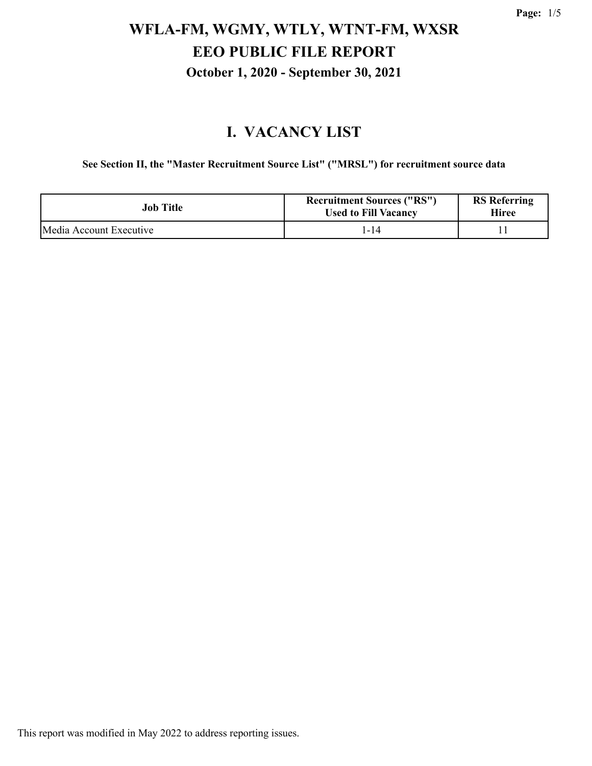#### **I. VACANCY LIST**

**See Section II, the "Master Recruitment Source List" ("MRSL") for recruitment source data**

| <b>Job Title</b>        | <b>Recruitment Sources ("RS")</b><br><b>Used to Fill Vacancy</b> | <b>RS</b> Referring<br>Hiree |
|-------------------------|------------------------------------------------------------------|------------------------------|
| Media Account Executive | 1-14                                                             |                              |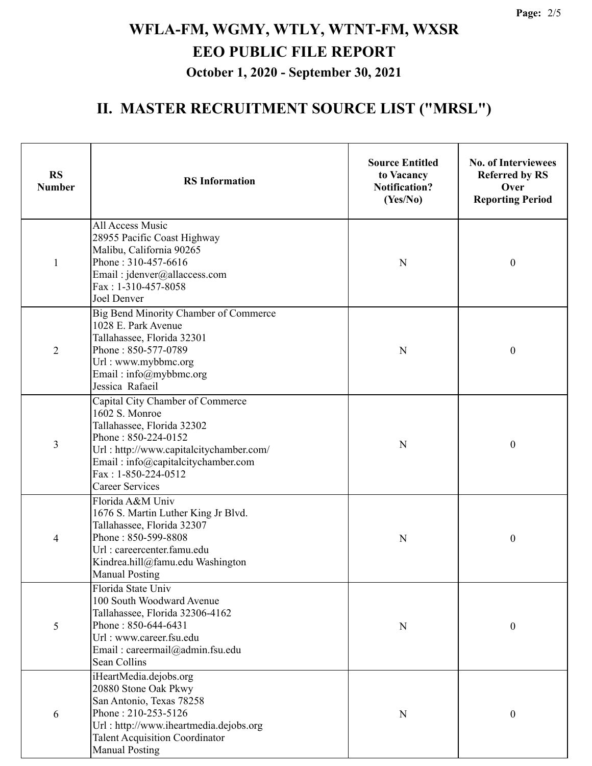### **II. MASTER RECRUITMENT SOURCE LIST ("MRSL")**

| <b>RS</b><br><b>Number</b> | <b>RS</b> Information                                                                                                                                                                                                                     | <b>Source Entitled</b><br>to Vacancy<br><b>Notification?</b><br>(Yes/No) | <b>No. of Interviewees</b><br><b>Referred by RS</b><br>Over<br><b>Reporting Period</b> |
|----------------------------|-------------------------------------------------------------------------------------------------------------------------------------------------------------------------------------------------------------------------------------------|--------------------------------------------------------------------------|----------------------------------------------------------------------------------------|
| $\mathbf{1}$               | All Access Music<br>28955 Pacific Coast Highway<br>Malibu, California 90265<br>Phone: 310-457-6616<br>Email: jdenver@allaccess.com<br>Fax: 1-310-457-8058<br>Joel Denver                                                                  | N                                                                        | $\boldsymbol{0}$                                                                       |
| $\overline{2}$             | Big Bend Minority Chamber of Commerce<br>1028 E. Park Avenue<br>Tallahassee, Florida 32301<br>Phone: 850-577-0789<br>Url: www.mybbmc.org<br>Email: info@mybbmc.org<br>Jessica Rafaeil                                                     | N                                                                        | $\boldsymbol{0}$                                                                       |
| 3                          | Capital City Chamber of Commerce<br>1602 S. Monroe<br>Tallahassee, Florida 32302<br>Phone: 850-224-0152<br>Url: http://www.capitalcitychamber.com/<br>Email: info@capitalcitychamber.com<br>Fax: 1-850-224-0512<br><b>Career Services</b> | N                                                                        | $\boldsymbol{0}$                                                                       |
| $\overline{4}$             | Florida A&M Univ<br>1676 S. Martin Luther King Jr Blvd.<br>Tallahassee, Florida 32307<br>Phone: 850-599-8808<br>Url : careercenter.famu.edu<br>Kindrea.hill@famu.edu Washington<br><b>Manual Posting</b>                                  | N                                                                        | $\boldsymbol{0}$                                                                       |
| 5                          | Florida State Univ<br>100 South Woodward Avenue<br>Tallahassee, Florida 32306-4162<br>Phone: 850-644-6431<br>Url: www.career.fsu.edu<br>Email: careermail@admin.fsu.edu<br>Sean Collins                                                   | N                                                                        | $\boldsymbol{0}$                                                                       |
| 6                          | iHeartMedia.dejobs.org<br>20880 Stone Oak Pkwy<br>San Antonio, Texas 78258<br>Phone: 210-253-5126<br>Url: http://www.iheartmedia.dejobs.org<br><b>Talent Acquisition Coordinator</b><br><b>Manual Posting</b>                             | ${\bf N}$                                                                | 0                                                                                      |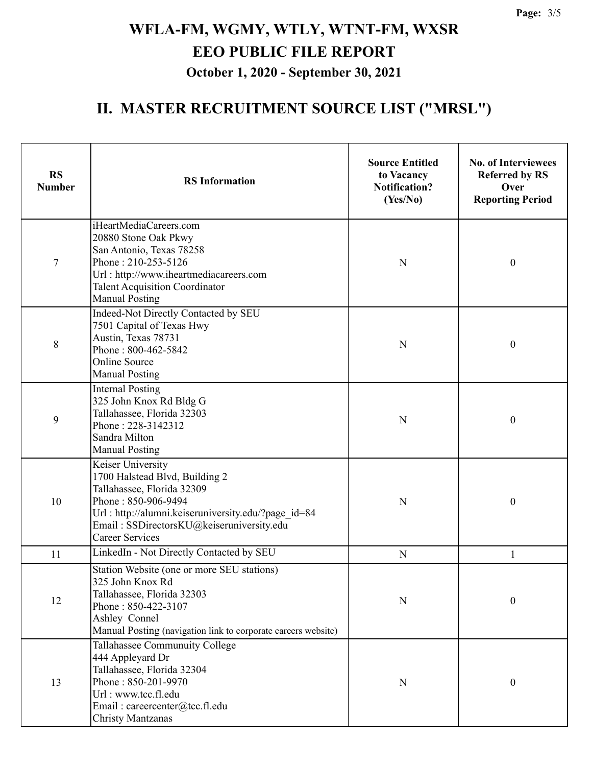### **II. MASTER RECRUITMENT SOURCE LIST ("MRSL")**

| <b>RS</b><br><b>Number</b> | <b>RS</b> Information                                                                                                                                                                                                                  | <b>Source Entitled</b><br>to Vacancy<br><b>Notification?</b><br>(Yes/No) | <b>No. of Interviewees</b><br><b>Referred by RS</b><br>Over<br><b>Reporting Period</b> |
|----------------------------|----------------------------------------------------------------------------------------------------------------------------------------------------------------------------------------------------------------------------------------|--------------------------------------------------------------------------|----------------------------------------------------------------------------------------|
| 7                          | iHeartMediaCareers.com<br>20880 Stone Oak Pkwy<br>San Antonio, Texas 78258<br>Phone: 210-253-5126<br>Url: http://www.iheartmediacareers.com<br><b>Talent Acquisition Coordinator</b><br><b>Manual Posting</b>                          | N                                                                        | $\boldsymbol{0}$                                                                       |
| 8                          | Indeed-Not Directly Contacted by SEU<br>7501 Capital of Texas Hwy<br>Austin, Texas 78731<br>Phone: 800-462-5842<br><b>Online Source</b><br><b>Manual Posting</b>                                                                       | N                                                                        | $\boldsymbol{0}$                                                                       |
| 9                          | <b>Internal Posting</b><br>325 John Knox Rd Bldg G<br>Tallahassee, Florida 32303<br>Phone: 228-3142312<br>Sandra Milton<br><b>Manual Posting</b>                                                                                       | N                                                                        | $\boldsymbol{0}$                                                                       |
| 10                         | Keiser University<br>1700 Halstead Blvd, Building 2<br>Tallahassee, Florida 32309<br>Phone: 850-906-9494<br>Url: http://alumni.keiseruniversity.edu/?page id=84<br>Email: SSDirectorsKU@keiseruniversity.edu<br><b>Career Services</b> | N                                                                        | $\boldsymbol{0}$                                                                       |
| 11                         | LinkedIn - Not Directly Contacted by SEU                                                                                                                                                                                               | $\mathbf N$                                                              | 1                                                                                      |
| 12                         | Station Website (one or more SEU stations)<br>325 John Knox Rd<br>Tallahassee, Florida 32303<br>Phone: 850-422-3107<br>Ashley Connel<br>Manual Posting (navigation link to corporate careers website)                                  | N                                                                        | $\boldsymbol{0}$                                                                       |
| 13                         | Tallahassee Communuity College<br>444 Appleyard Dr<br>Tallahassee, Florida 32304<br>Phone: 850-201-9970<br>Url: www.tcc.fl.edu<br>Email: careercenter@tcc.fl.edu<br><b>Christy Mantzanas</b>                                           | $\mathbf N$                                                              | $\boldsymbol{0}$                                                                       |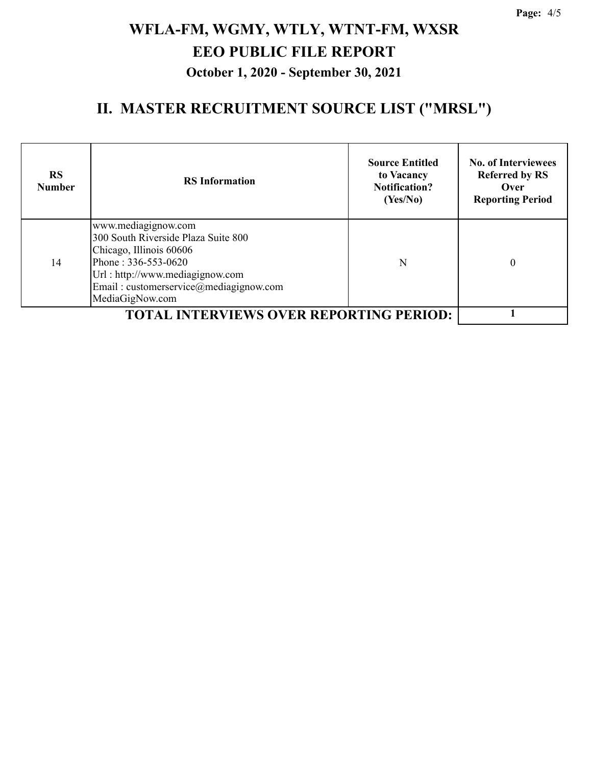### **II. MASTER RECRUITMENT SOURCE LIST ("MRSL")**

| <b>RS</b><br><b>Number</b>                 | <b>RS</b> Information                                                                                                                                                                                        | <b>Source Entitled</b><br>to Vacancy<br><b>Notification?</b><br>(Yes/No) | <b>No. of Interviewees</b><br><b>Referred by RS</b><br>Over<br><b>Reporting Period</b> |
|--------------------------------------------|--------------------------------------------------------------------------------------------------------------------------------------------------------------------------------------------------------------|--------------------------------------------------------------------------|----------------------------------------------------------------------------------------|
| 14                                         | www.mediagignow.com<br>300 South Riverside Plaza Suite 800<br>Chicago, Illinois 60606<br>Phone: 336-553-0620<br>Url: http://www.mediagignow.com<br>Email: customerservice@mediagignow.com<br>MediaGigNow.com | N                                                                        | 0                                                                                      |
| <b>L INTERVIEWS OVER REPORTING PERIOD:</b> |                                                                                                                                                                                                              |                                                                          |                                                                                        |